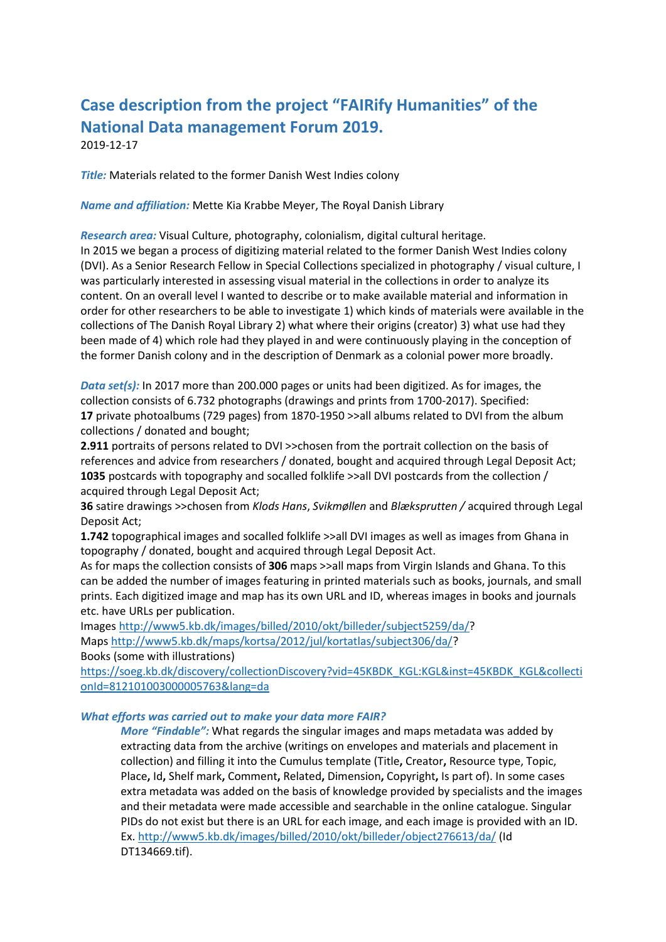# **Case description from the project "FAIRify Humanities" of the National Data management Forum 2019.**

2019-12-17

*Title:* Materials related to the former Danish West Indies colony

*Name and affiliation:* Mette Kia Krabbe Meyer, The Royal Danish Library

*Research area:* Visual Culture, photography, colonialism, digital cultural heritage.

In 2015 we began a process of digitizing material related to the former Danish West Indies colony (DVI). As a Senior Research Fellow in Special Collections specialized in photography / visual culture, I was particularly interested in assessing visual material in the collections in order to analyze its content. On an overall level I wanted to describe or to make available material and information in order for other researchers to be able to investigate 1) which kinds of materials were available in the collections of The Danish Royal Library 2) what where their origins (creator) 3) what use had they been made of 4) which role had they played in and were continuously playing in the conception of the former Danish colony and in the description of Denmark as a colonial power more broadly.

*Data set(s):* In 2017 more than 200.000 pages or units had been digitized. As for images, the collection consists of 6.732 photographs (drawings and prints from 1700-2017). Specified: **17** private photoalbums (729 pages) from 1870-1950 >>all albums related to DVI from the album collections / donated and bought;

**2.911** portraits of persons related to DVI >>chosen from the portrait collection on the basis of references and advice from researchers / donated, bought and acquired through Legal Deposit Act; **1035** postcards with topography and socalled folklife >>all DVI postcards from the collection / acquired through Legal Deposit Act;

**36** satire drawings >>chosen from *Klods Hans*, *Svikmøllen* and *Blæksprutten /* acquired through Legal Deposit Act;

**1.742** topographical images and socalled folklife >>all DVI images as well as images from Ghana in topography / donated, bought and acquired through Legal Deposit Act.

As for maps the collection consists of **306** maps >>all maps from Virgin Islands and Ghana. To this can be added the number of images featuring in printed materials such as books, journals, and small prints. Each digitized image and map has its own URL and ID, whereas images in books and journals etc. have URLs per publication.

Images [http://www5.kb.dk/images/billed/2010/okt/billeder/subject5259/da/?](http://www5.kb.dk/images/billed/2010/okt/billeder/subject5259/da/)

Maps [http://www5.kb.dk/maps/kortsa/2012/jul/kortatlas/subject306/da/?](http://www5.kb.dk/maps/kortsa/2012/jul/kortatlas/subject306/da/) Books (some with illustrations)

[https://soeg.kb.dk/discovery/collectionDiscovery?vid=45KBDK\\_KGL:KGL&inst=45KBDK\\_KGL&collecti](https://soeg.kb.dk/discovery/collectionDiscovery?vid=45KBDK_KGL:KGL&inst=45KBDK_KGL&collectionId=812101003000005763&lang=da) [onId=812101003000005763&lang=da](https://soeg.kb.dk/discovery/collectionDiscovery?vid=45KBDK_KGL:KGL&inst=45KBDK_KGL&collectionId=812101003000005763&lang=da)

## *What efforts was carried out to make your data more FAIR?*

*More "Findable":* What regards the singular images and maps metadata was added by extracting data from the archive (writings on envelopes and materials and placement in collection) and filling it into the Cumulus template (Title**,** Creator**,** Resource type, Topic, Place**,** Id**,** Shelf mark**,** Comment**,** Related**,** Dimension**,** Copyright**,** Is part of). In some cases extra metadata was added on the basis of knowledge provided by specialists and the images and their metadata were made accessible and searchable in the online catalogue. Singular PIDs do not exist but there is an URL for each image, and each image is provided with an ID. Ex.<http://www5.kb.dk/images/billed/2010/okt/billeder/object276613/da/> (Id DT134669.tif).